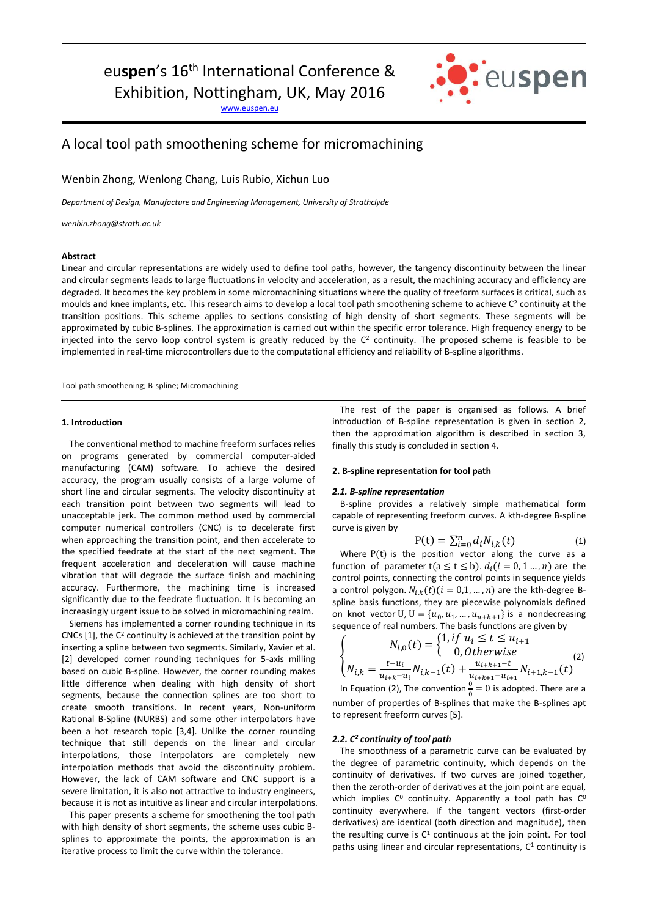# euspen's 16<sup>th</sup> International Conference &

Exhibition, Nottingham, UK, May 2016

[www.euspen.eu](http://www.euspen.eu/)



# A local tool path smoothening scheme for micromachining

Wenbin Zhong, Wenlong Chang, Luis Rubio, Xichun Luo

*Department of Design, Manufacture and Engineering Management, University of Strathclyde*

*wenbin.zhong@strath.ac.uk*

# **Abstract**

Linear and circular representations are widely used to define tool paths, however, the tangency discontinuity between the linear and circular segments leads to large fluctuations in velocity and acceleration, as a result, the machining accuracy and efficiency are degraded. It becomes the key problem in some micromachining situations where the quality of freeform surfaces is critical, such as moulds and knee implants, etc. This research aims to develop a local tool path smoothening scheme to achieve C<sup>2</sup> continuity at the transition positions. This scheme applies to sections consisting of high density of short segments. These segments will be approximated by cubic B-splines. The approximation is carried out within the specific error tolerance. High frequency energy to be injected into the servo loop control system is greatly reduced by the  $C<sup>2</sup>$  continuity. The proposed scheme is feasible to be implemented in real-time microcontrollers due to the computational efficiency and reliability of B-spline algorithms.

Tool path smoothening; B-spline; Micromachining

# **1. Introduction**

The conventional method to machine freeform surfaces relies on programs generated by commercial computer-aided manufacturing (CAM) software. To achieve the desired accuracy, the program usually consists of a large volume of short line and circular segments. The velocity discontinuity at each transition point between two segments will lead to unacceptable jerk. The common method used by commercial computer numerical controllers (CNC) is to decelerate first when approaching the transition point, and then accelerate to the specified feedrate at the start of the next segment. The frequent acceleration and deceleration will cause machine vibration that will degrade the surface finish and machining accuracy. Furthermore, the machining time is increased significantly due to the feedrate fluctuation. It is becoming an increasingly urgent issue to be solved in micromachining realm.

Siemens has implemented a corner rounding technique in its CNCs  $[1]$ , the C<sup>2</sup> continuity is achieved at the transition point by inserting a spline between two segments. Similarly, Xavier et al. [2] developed corner rounding techniques for 5-axis milling based on cubic B-spline. However, the corner rounding makes little difference when dealing with high density of short segments, because the connection splines are too short to create smooth transitions. In recent years, Non-uniform Rational B-Spline (NURBS) and some other interpolators have been a hot research topic [3,4]. Unlike the corner rounding technique that still depends on the linear and circular interpolations, those interpolators are completely new interpolation methods that avoid the discontinuity problem. However, the lack of CAM software and CNC support is a severe limitation, it is also not attractive to industry engineers, because it is not as intuitive as linear and circular interpolations.

This paper presents a scheme for smoothening the tool path with high density of short segments, the scheme uses cubic Bsplines to approximate the points, the approximation is an iterative process to limit the curve within the tolerance.

The rest of the paper is organised as follows. A brief introduction of B-spline representation is given in section 2, then the approximation algorithm is described in section 3, finally this study is concluded in section 4.

## **2. B-spline representation for tool path**

#### *2.1. B-spline representation*

B-spline provides a relatively simple mathematical form capable of representing freeform curves. A kth-degree B-spline curve is given by

$$
P(t) = \sum_{i=0}^{n} d_i N_{i,k}(t)
$$
 (1)

Where  $P(t)$  is the position vector along the curve as a function of parameter t( $a \le t \le b$ ).  $d_i(i = 0, 1 ..., n)$  are the control points, connecting the control points in sequence yields a control polygon.  $N_{i,k}(t)$  ( $i = 0,1,...,n$ ) are the kth-degree Bspline basis functions, they are piecewise polynomials defined on knot vector U,  $U = \{u_0, u_1, ..., u_{n+k+1}\}\$ is a nondecreasing sequence of real numbers. The basis functions are given by

$$
\begin{cases}\nN_{i,0}(t) = \begin{cases}\n1, if \ u_i \le t \le u_{i+1} \\
0, Otherwise\n\end{cases} \\
N_{i,k} = \frac{t - u_i}{u_{i+k} - u_i} N_{i,k-1}(t) + \frac{u_{i+k+1} - t}{u_{i+k+1} - u_{i+1}} N_{i+1,k-1}(t)\n\end{cases}
$$

In Equation (2), The convention  $\frac{0}{0} = 0$  is adopted. There are a number of properties of B-splines that make the B-splines apt to represent freeform curves [5].

#### *2.2. C <sup>2</sup> continuity of tool path*

The smoothness of a parametric curve can be evaluated by the degree of parametric continuity, which depends on the continuity of derivatives. If two curves are joined together, then the zeroth-order of derivatives at the join point are equal, which implies  $C^0$  continuity. Apparently a tool path has  $C^0$ continuity everywhere. If the tangent vectors (first-order derivatives) are identical (both direction and magnitude), then the resulting curve is  $C<sup>1</sup>$  continuous at the join point. For tool paths using linear and circular representations, C <sup>1</sup> continuity is